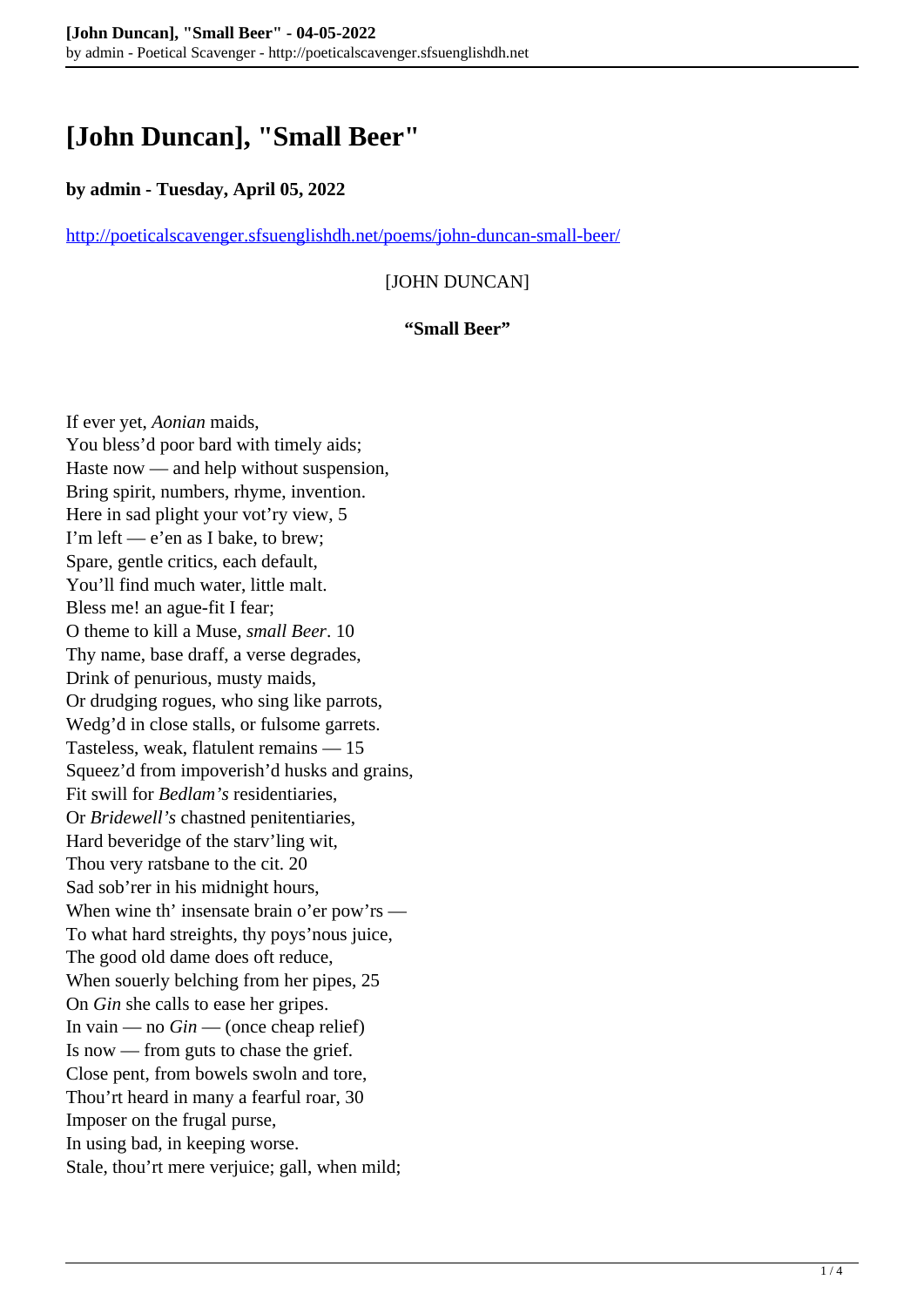# **[John Duncan], "Small Beer"**

### **by admin - Tuesday, April 05, 2022**

<http://poeticalscavenger.sfsuenglishdh.net/poems/john-duncan-small-beer/>

[JOHN DUNCAN]

#### **"Small Beer"**

If ever yet, *Aonian* maids, You bless'd poor bard with timely aids; Haste now — and help without suspension, Bring spirit, numbers, rhyme, invention. Here in sad plight your vot'ry view, 5 I'm left — e'en as I bake, to brew; Spare, gentle critics, each default, You'll find much water, little malt. Bless me! an ague-fit I fear; O theme to kill a Muse, *small Beer*. 10 Thy name, base draff, a verse degrades, Drink of penurious, musty maids, Or drudging rogues, who sing like parrots, Wedg'd in close stalls, or fulsome garrets. Tasteless, weak, flatulent remains — 15 Squeez'd from impoverish'd husks and grains, Fit swill for *Bedlam's* residentiaries, Or *Bridewell's* chastned penitentiaries, Hard beveridge of the starv'ling wit, Thou very ratsbane to the cit. 20 Sad sob'rer in his midnight hours, When wine th' insensate brain o'er pow'rs — To what hard streights, thy poys'nous juice, The good old dame does oft reduce, When souerly belching from her pipes, 25 On *Gin* she calls to ease her gripes. In vain — no *Gin* — (once cheap relief) Is now — from guts to chase the grief. Close pent, from bowels swoln and tore, Thou'rt heard in many a fearful roar, 30 Imposer on the frugal purse, In using bad, in keeping worse. Stale, thou'rt mere verjuice; gall, when mild;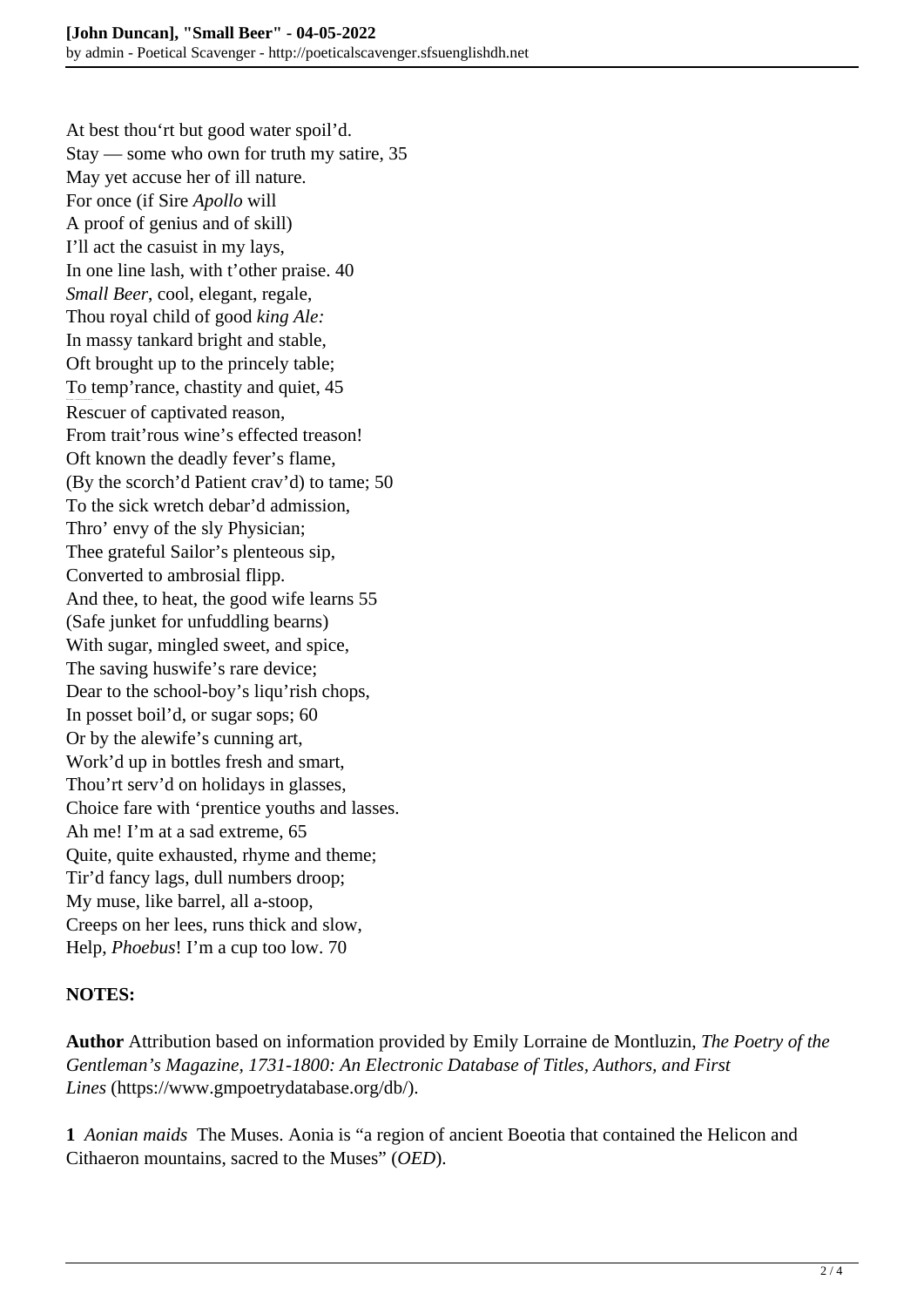At best thou'rt but good water spoil'd. Stay — some who own for truth my satire, 35 May yet accuse her of ill nature. For once (if Sire *Apollo* will A proof of genius and of skill) I'll act the casuist in my lays, In one line lash, with t'other praise. 40 *Small Beer*, cool, elegant, regale, Thou royal child of good *king Ale:* In massy tankard bright and stable, Oft brought up to the princely table; To temp'rance, chastity and quiet, 45 Rescuer of captivated reason, From trait'rous wine's effected treason! Oft known the deadly fever's flame, (By the scorch'd Patient crav'd) to tame; 50 To the sick wretch debar'd admission, Thro' envy of the sly Physician; Thee grateful Sailor's plenteous sip, Converted to ambrosial flipp. And thee, to heat, the good wife learns 55 (Safe junket for unfuddling bearns) With sugar, mingled sweet, and spice, The saving huswife's rare device; Dear to the school-boy's liqu'rish chops, In posset boil'd, or sugar sops; 60 Or by the alewife's cunning art, Work'd up in bottles fresh and smart, Thou'rt serv'd on holidays in glasses, Choice fare with 'prentice youths and lasses. Ah me! I'm at a sad extreme, 65 Quite, quite exhausted, rhyme and theme; Tir'd fancy lags, dull numbers droop; My muse, like barrel, all a-stoop, Creeps on her lees, runs thick and slow, Help, *Phoebus*! I'm a cup too low. 70

#### **NOTES:**

**Author** Attribution based on information provided by Emily Lorraine de Montluzin, *The Poetry of the Gentleman's Magazine, 1731-1800: An Electronic Database of Titles, Authors, and First Lines* (https://www.gmpoetrydatabase.org/db/).

**1** *Aonian maids* The Muses. Aonia is "a region of ancient Boeotia that contained the Helicon and Cithaeron mountains, sacred to the Muses" (*OED*).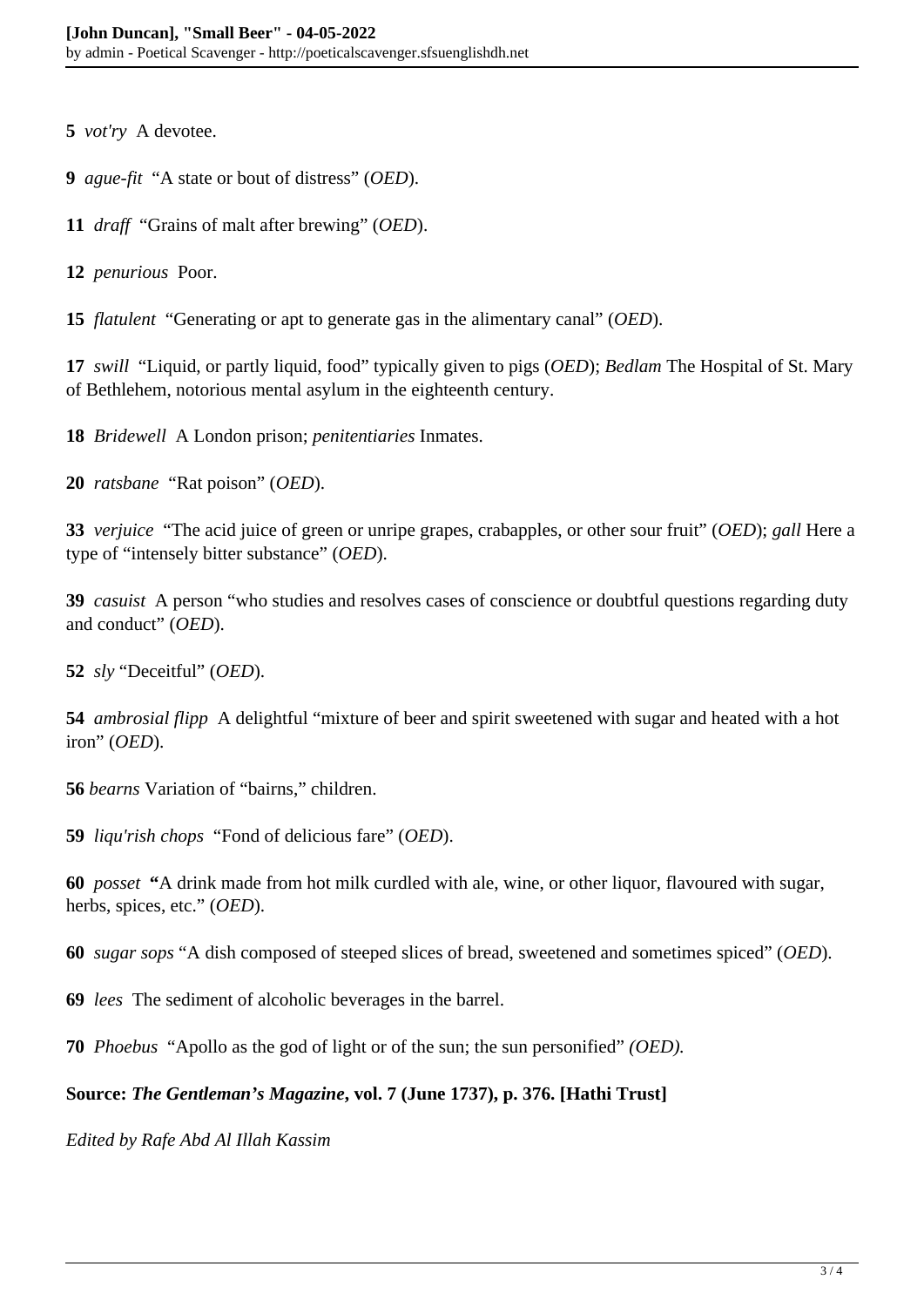*vot'ry* A devotee.

*ague-fit* "A state or bout of distress" (*OED*).

*draff* "Grains of malt after brewing" (*OED*).

*penurious* Poor.

*flatulent* "Generating or apt to generate gas in the alimentary canal" (*OED*).

 *swill* "Liquid, or partly liquid, food" typically given to pigs (*OED*); *Bedlam* The Hospital of St. Mary of Bethlehem, notorious mental asylum in the eighteenth century.

 *Bridewell* A London prison; *penitentiaries* Inmates.

*ratsbane* "Rat poison" (*OED*).

 *verjuice* "The acid juice of green or unripe grapes, crabapples, or other sour fruit" (*OED*); *gall* Here a type of "intensely bitter substance" (*OED*).

 *casuist* A person "who studies and resolves cases of conscience or doubtful questions regarding duty and conduct" (*OED*).

*sly* "Deceitful" (*OED*).

*ambrosial flipp* A delightful "mixture of beer and spirit sweetened with sugar and heated with a hot iron" (*OED*).

*bearns* Variation of "bairns," children.

*liqu'rish chops* "Fond of delicious fare" (*OED*).

*posset* **"**A drink made from hot milk curdled with ale, wine, or other liquor, flavoured with sugar, herbs, spices, etc." (*OED*).

*sugar sops* "A dish composed of steeped slices of bread, sweetened and sometimes spiced" (*OED*).

*lees* The sediment of alcoholic beverages in the barrel.

*Phoebus* "Apollo as the god of light or of the sun; the sun personified" *(OED).* 

## **Source:** *The Gentleman's Magazine***, vol. 7 (June 1737), p. 376. [Hathi Trust]**

*Edited by Rafe Abd Al Illah Kassim*